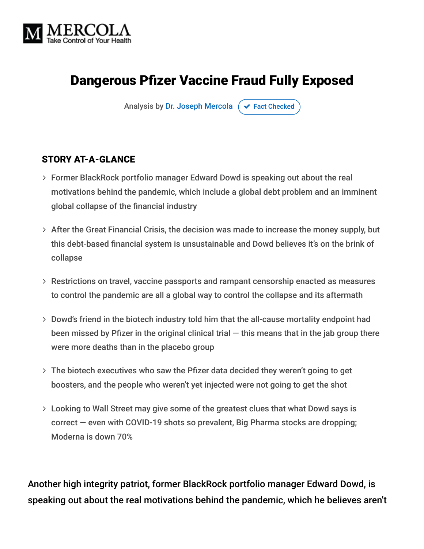

# Dangerous Pfizer Vaccine Fraud Fully Exposed

Analysis by [Dr. Joseph Mercola](https://www.mercola.com/forms/background.htm)  $\sigma$  [Fact Checked](javascript:void(0))

#### STORY AT-A-GLANCE

- Former BlackRock portfolio manager Edward Dowd is speaking out about the real motivations behind the pandemic, which include a global debt problem and an imminent global collapse of the financial industry
- $>$  After the Great Financial Crisis, the decision was made to increase the money supply, but this debt-based financial system is unsustainable and Dowd believes it's on the brink of collapse
- Restrictions on travel, vaccine passports and rampant censorship enacted as measures to control the pandemic are all a global way to control the collapse and its aftermath
- Dowd's friend in the biotech industry told him that the all-cause mortality endpoint had been missed by Pfizer in the original clinical trial  $-$  this means that in the jab group there were more deaths than in the placebo group
- The biotech executives who saw the Pfizer data decided they weren't going to get boosters, and the people who weren't yet injected were not going to get the shot
- Looking to Wall Street may give some of the greatest clues that what Dowd says is correct — even with COVID-19 shots so prevalent, Big Pharma stocks are dropping; Moderna is down 70%

Another high integrity patriot, former BlackRock portfolio manager Edward Dowd, is speaking out about the real motivations behind the pandemic, which he believes aren't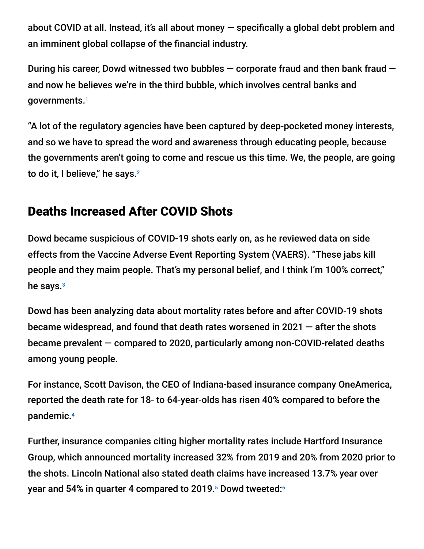about COVID at all. Instead, it's all about money — specifically a global debt problem and an imminent global collapse of the financial industry.

During his career, Dowd witnessed two bubbles  $-$  corporate fraud and then bank fraud  $$ and now he believes we're in the third bubble, which involves central banks and governments. 1

"A lot of the regulatory agencies have been captured by deep-pocketed money interests, and so we have to spread the word and awareness through educating people, because the governments aren't going to come and rescue us this time. We, the people, are going to do it, I believe," he says. $^{\rm 2}$ 

## Deaths Increased After COVID Shots

Dowd became suspicious of COVID-19 shots early on, as he reviewed data on side effects from the Vaccine Adverse Event Reporting System (VAERS). "These jabs kill people and they maim people. That's my personal belief, and I think I'm 100% correct," he says.<sup>3</sup>

Dowd has been analyzing data about mortality rates before and after COVID-19 shots became widespread, and found that death rates worsened in 2021 — after the shots became prevalent — compared to 2020, particularly among non-COVID-related deaths among young people.

For instance, Scott Davison, the CEO of Indiana-based insurance company OneAmerica, reported the death rate for 18- to 64-year-olds has risen 40% compared to before the pandemic. 4

Further, insurance companies citing higher mortality rates include Hartford Insurance Group, which announced mortality increased 32% from 2019 and 20% from 2020 prior to the shots. Lincoln National also stated death claims have increased 13.7% year over year and 54% in quarter 4 compared to 2019. $^{\rm 5}$  Dowd tweeted: $^{\rm 6}$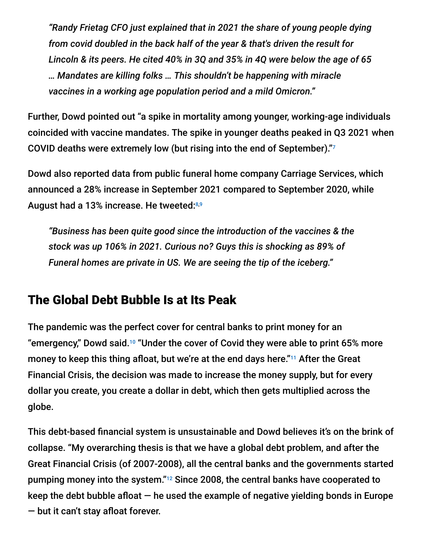*"Randy Frietag CFO just explained that in 2021 the share of young people dying from covid doubled in the back half of the year & that's driven the result for Lincoln & its peers. He cited 40% in 3Q and 35% in 4Q were below the age of 65 … Mandates are killing folks … This shouldn't be happening with miracle vaccines in a working age population period and a mild Omicron."*

Further, Dowd pointed out "a spike in mortality among younger, working-age individuals coincided with vaccine mandates. The spike in younger deaths peaked in Q3 2021 when COVID deaths were extremely low (but rising into the end of September)." 7

Dowd also reported data from public funeral home company Carriage Services, which announced a 28% increase in September 2021 compared to September 2020, while August had a 13% increase. He tweeted: 8,9

*"Business has been quite good since the introduction of the vaccines & the stock was up 106% in 2021. Curious no? Guys this is shocking as 89% of Funeral homes are private in US. We are seeing the tip of the iceberg."*

## The Global Debt Bubble Is at Its Peak

The pandemic was the perfect cover for central banks to print money for an "emergency," Dowd said. $10$  "Under the cover of Covid they were able to print 65% more money to keep this thing afloat, but we're at the end days here."<sup>11</sup> After the Great Financial Crisis, the decision was made to increase the money supply, but for every dollar you create, you create a dollar in debt, which then gets multiplied across the globe.

This debt-based financial system is unsustainable and Dowd believes it's on the brink of collapse. "My overarching thesis is that we have a global debt problem, and after the Great Financial Crisis (of 2007-2008), all the central banks and the governments started pumping money into the system." $^{12}$  Since 2008, the central banks have cooperated to keep the debt bubble afloat  $-$  he used the example of negative yielding bonds in Europe — but it can't stay afloat forever.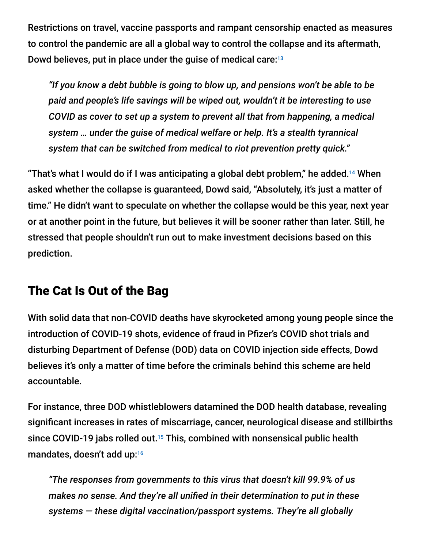Restrictions on travel, vaccine passports and rampant censorship enacted as measures to control the pandemic are all a global way to control the collapse and its aftermath, Dowd believes, put in place under the guise of medical care: 13

*"If you know a debt bubble is going to blow up, and pensions won't be able to be paid and people's life savings will be wiped out, wouldn't it be interesting to use COVID as cover to set up a system to prevent all that from happening, a medical system … under the guise of medical welfare or help. It's a stealth tyrannical system that can be switched from medical to riot prevention pretty quick."*

"That's what I would do if I was anticipating a global debt problem," he added. $^{14}$  When asked whether the collapse is guaranteed, Dowd said, "Absolutely, it's just a matter of time." He didn't want to speculate on whether the collapse would be this year, next year or at another point in the future, but believes it will be sooner rather than later. Still, he stressed that people shouldn't run out to make investment decisions based on this prediction.

## The Cat Is Out of the Bag

With solid data that non-COVID deaths have skyrocketed among young people since the introduction of COVID-19 shots, evidence of fraud in Pfizer's COVID shot trials and disturbing Department of Defense (DOD) data on COVID injection side effects, Dowd believes it's only a matter of time before the criminals behind this scheme are held accountable.

For instance, three DOD whistleblowers datamined the DOD health database, revealing significant increases in rates of miscarriage, cancer, neurological disease and stillbirths since COVID-19 jabs rolled out.<sup>15</sup> This, combined with nonsensical public health mandates, doesn't add up: 16

*"The responses from governments to this virus that doesn't kill 99.9% of us makes no sense. And they're all unified in their determination to put in these systems — these digital vaccination/passport systems. They're all globally*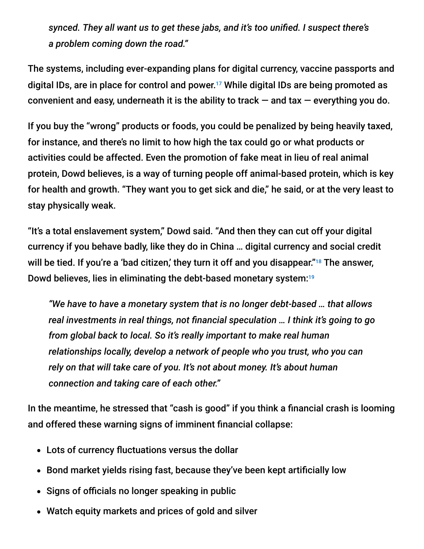*synced. They all want us to get these jabs, and it's too unified. I suspect there's a problem coming down the road."*

The systems, including ever-expanding plans for digital currency, vaccine passports and digital IDs, are in place for control and power.<sup>17</sup> While digital IDs are being promoted as convenient and easy, underneath it is the ability to track  $-$  and tax  $-$  everything you do.

If you buy the "wrong" products or foods, you could be penalized by being heavily taxed, for instance, and there's no limit to how high the tax could go or what products or activities could be affected. Even the promotion of fake meat in lieu of real animal protein, Dowd believes, is a way of turning people off animal-based protein, which is key for health and growth. "They want you to get sick and die," he said, or at the very least to stay physically weak.

"It's a total enslavement system," Dowd said. "And then they can cut off your digital currency if you behave badly, like they do in China … digital currency and social credit will be tied. If you're a 'bad citizen,' they turn it off and you disappear."<sup>18</sup> The answer, Dowd believes, lies in eliminating the debt-based monetary system: 19

*"We have to have a monetary system that is no longer debt-based … that allows real investments in real things, not financial speculation … I think it's going to go from global back to local. So it's really important to make real human relationships locally, develop a network of people who you trust, who you can rely on that will take care of you. It's not about money. It's about human connection and taking care of each other."*

In the meantime, he stressed that "cash is good" if you think a financial crash is looming and offered these warning signs of imminent financial collapse:

- Lots of currency fluctuations versus the dollar
- Bond market yields rising fast, because they've been kept artificially low
- Signs of officials no longer speaking in public
- Watch equity markets and prices of gold and silver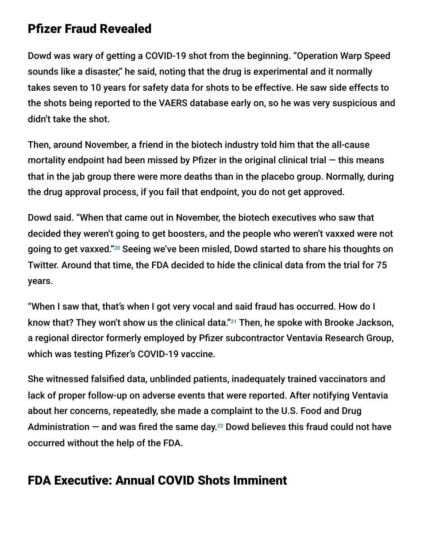## Pfizer Fraud Revealed

Dowd was wary of getting a COVID-19 shot from the beginning. "Operation Warp Speed sounds like a disaster," he said, noting that the drug is experimental and it normally takes seven to 10 years for safety data for shots to be effective. He saw side effects to the shots being reported to the VAERS database early on, so he was very suspicious and didn't take the shot.

Then, around November, a friend in the biotech industry told him that the all-cause mortality endpoint had been missed by Pfizer in the original clinical trial  $-$  this means that in the jab group there were more deaths than in the placebo group. Normally, during the drug approval process, if you fail that endpoint, you do not get approved.

Dowd said. "When that came out in November, the biotech executives who saw that decided they weren't going to get boosters, and the people who weren't vaxxed were not going to get vaxxed."20 Seeing we've been misled, Dowd started to share his thoughts on Twitter. Around that time, the FDA decided to hide the clinical data from the trial for 75 years.

"When I saw that, that's when I got very vocal and said fraud has occurred. How do I know that? They won't show us the clinical data."<sup>21</sup> Then, he spoke with Brooke Jackson, a regional director formerly employed by Pfizer subcontractor Ventavia Research Group, which was testing Pfizer's COVID-19 vaccine.

She witnessed falsified data, unblinded patients, inadequately trained vaccinators and lack of proper follow-up on adverse events that were reported. After notifying Ventavia about her concerns, repeatedly, she made a complaint to the U.S. Food and Drug Administration  $-$  and was fired the same day. $^{22}$  Dowd believes this fraud could not have occurred without the help of the FDA.

## FDA Executive: Annual COVID Shots Imminent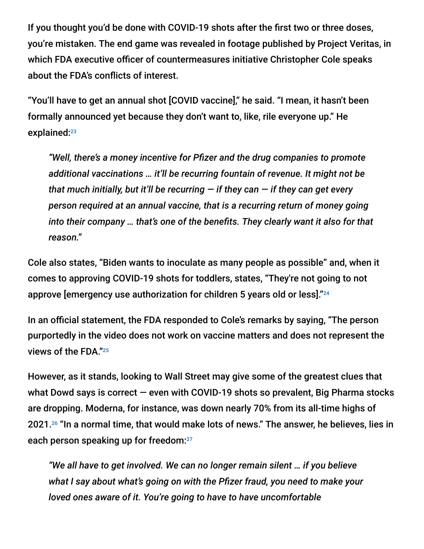If you thought you'd be done with COVID-19 shots after the first two or three doses, you're mistaken. The end game was revealed in footage published by Project Veritas, in which FDA executive officer of countermeasures initiative Christopher Cole speaks about the FDA's conflicts of interest.

"You'll have to get an annual shot [COVID vaccine]," he said. "I mean, it hasn't been formally announced yet because they don't want to, like, rile everyone up." He explained: 23

*"Well, there's a money incentive for Pfizer and the drug companies to promote additional vaccinations … it'll be recurring fountain of revenue. It might not be that much initially, but it'll be recurring — if they can — if they can get every person required at an annual vaccine, that is a recurring return of money going into their company … that's one of the benefits. They clearly want it also for that reason."*

Cole also states, "Biden wants to inoculate as many people as possible" and, when it comes to approving COVID-19 shots for toddlers, states, "They're not going to not approve [emergency use authorization for children 5 years old or less]." 24

In an official statement, the FDA responded to Cole's remarks by saying, "The person purportedly in the video does not work on vaccine matters and does not represent the views of the FDA." 25

However, as it stands, looking to Wall Street may give some of the greatest clues that what Dowd says is correct — even with COVID-19 shots so prevalent, Big Pharma stocks are dropping. Moderna, for instance, was down nearly 70% from its all-time highs of 2021.26 "In a normal time, that would make lots of news." The answer, he believes, lies in each person speaking up for freedom: 27

*"We all have to get involved. We can no longer remain silent … if you believe what I say about what's going on with the Pfizer fraud, you need to make your loved ones aware of it. You're going to have to have uncomfortable*